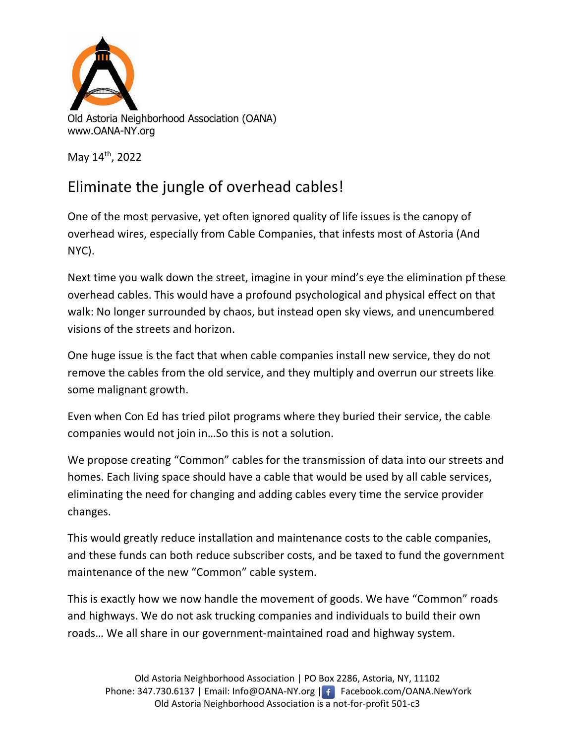

May 14th, 2022

## Eliminate the jungle of overhead cables!

One of the most pervasive, yet often ignored quality of life issues is the canopy of overhead wires, especially from Cable Companies, that infests most of Astoria (And NYC).

Next time you walk down the street, imagine in your mind's eye the elimination pf these overhead cables. This would have a profound psychological and physical effect on that walk: No longer surrounded by chaos, but instead open sky views, and unencumbered visions of the streets and horizon.

One huge issue is the fact that when cable companies install new service, they do not remove the cables from the old service, and they multiply and overrun our streets like some malignant growth.

Even when Con Ed has tried pilot programs where they buried their service, the cable companies would not join in…So this is not a solution.

We propose creating "Common" cables for the transmission of data into our streets and homes. Each living space should have a cable that would be used by all cable services, eliminating the need for changing and adding cables every time the service provider changes.

This would greatly reduce installation and maintenance costs to the cable companies, and these funds can both reduce subscriber costs, and be taxed to fund the government maintenance of the new "Common" cable system.

This is exactly how we now handle the movement of goods. We have "Common" roads and highways. We do not ask trucking companies and individuals to build their own roads… We all share in our government-maintained road and highway system.